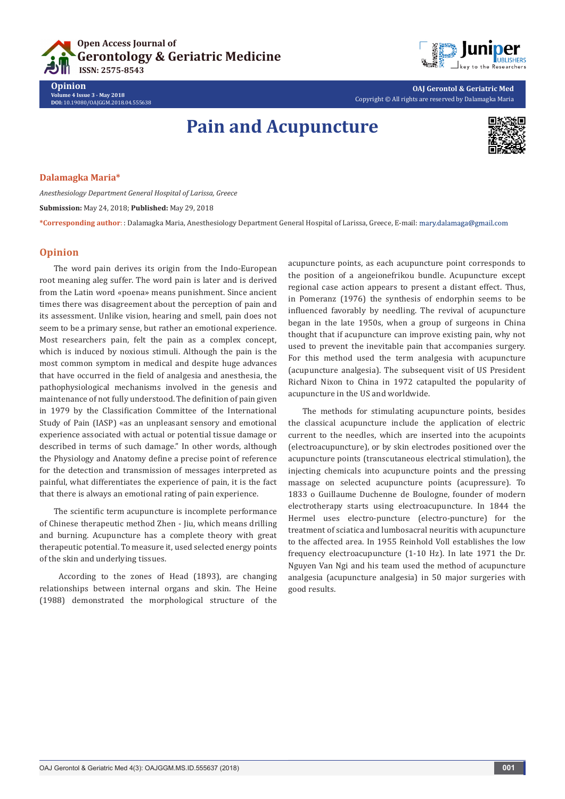



**OAJ Gerontol & Geriatric Med** Copyright © All rights are reserved by Dalamagka Maria

# **Pain and Acupuncture**



### **Dalamagka Maria\***

**Opinion**

**Volume 4 Issue 3 - May 2018 DOI:** [10.19080/OAJGGM.2018.04.5556](http://dx.doi.org/10.19080/OAJGGM.2018.04.555638)38

*Anesthesiology Department General Hospital of Larissa, Greece* **Submission:** May 24, 2018; **Published:** May 29, 2018 **\*Corresponding author**: : Dalamagka Maria, Anesthesiology Department General Hospital of Larissa, Greece, E-mail:

## **Opinion**

The word pain derives its origin from the Indo-European root meaning aleg suffer. The word pain is later and is derived from the Latin word «poena» means punishment. Since ancient times there was disagreement about the perception of pain and its assessment. Unlike vision, hearing and smell, pain does not seem to be a primary sense, but rather an emotional experience. Most researchers pain, felt the pain as a complex concept, which is induced by noxious stimuli. Although the pain is the most common symptom in medical and despite huge advances that have occurred in the field of analgesia and anesthesia, the pathophysiological mechanisms involved in the genesis and maintenance of not fully understood. The definition of pain given in 1979 by the Classification Committee of the International Study of Pain (IASP) «as an unpleasant sensory and emotional experience associated with actual or potential tissue damage or described in terms of such damage." In other words, although the Physiology and Anatomy define a precise point of reference for the detection and transmission of messages interpreted as painful, what differentiates the experience of pain, it is the fact that there is always an emotional rating of pain experience.

The scientific term acupuncture is incomplete performance of Chinese therapeutic method Zhen - Jiu, which means drilling and burning. Acupuncture has a complete theory with great therapeutic potential. To measure it, used selected energy points of the skin and underlying tissues.

 According to the zones of Head (1893), are changing relationships between internal organs and skin. The Heine (1988) demonstrated the morphological structure of the

acupuncture points, as each acupuncture point corresponds to the position of a angeionefrikou bundle. Acupuncture except regional case action appears to present a distant effect. Thus, in Pomeranz (1976) the synthesis of endorphin seems to be influenced favorably by needling. The revival of acupuncture began in the late 1950s, when a group of surgeons in China thought that if acupuncture can improve existing pain, why not used to prevent the inevitable pain that accompanies surgery. For this method used the term analgesia with acupuncture (acupuncture analgesia). The subsequent visit of US President Richard Nixon to China in 1972 catapulted the popularity of acupuncture in the US and worldwide.

The methods for stimulating acupuncture points, besides the classical acupuncture include the application of electric current to the needles, which are inserted into the acupoints (electroacupuncture), or by skin electrodes positioned over the acupuncture points (transcutaneous electrical stimulation), the injecting chemicals into acupuncture points and the pressing massage on selected acupuncture points (acupressure). To 1833 o Guillaume Duchenne de Boulogne, founder of modern electrotherapy starts using electroacupuncture. In 1844 the Hermel uses electro-puncture (electro-puncture) for the treatment of sciatica and lumbosacral neuritis with acupuncture to the affected area. In 1955 Reinhold Voll establishes the low frequency electroacupuncture (1-10 Hz). In late 1971 the Dr. Nguyen Van Ngi and his team used the method of acupuncture analgesia (acupuncture analgesia) in 50 major surgeries with good results.